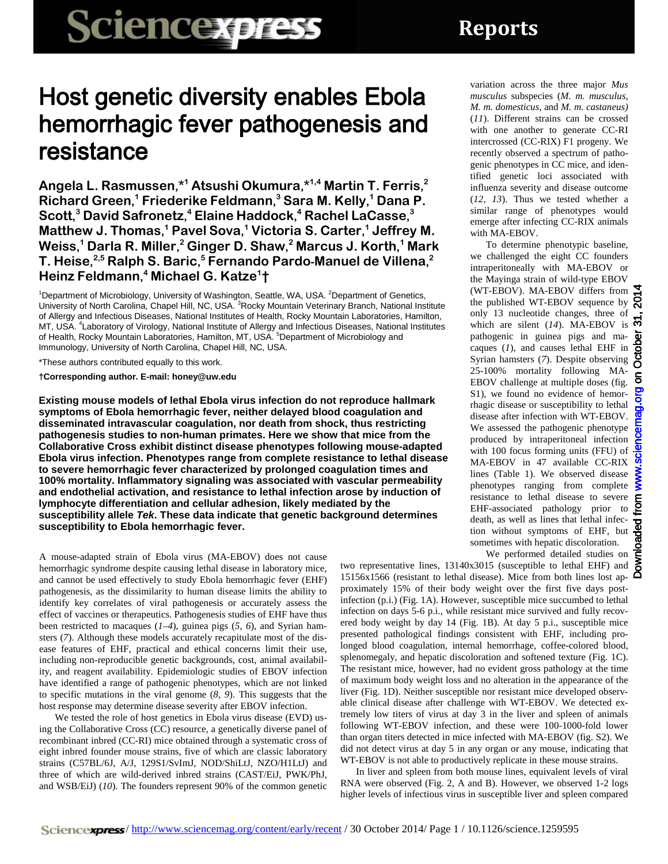## Host genetic diversity enables Ebola hemorrhagic fever pathogenesis and resistance

**Angela L. Rasmussen,\*1 Atsushi Okumura,\*1,4 Martin T. Ferris, 2 Richard Green, <sup>1</sup> Friederike Feldmann, <sup>3</sup> Sara M. Kelly, <sup>1</sup> Dana P. Scott, <sup>3</sup> David Safronetz, <sup>4</sup> Elaine Haddock, <sup>4</sup> Rachel LaCasse, 3 Matthew J. Thomas, <sup>1</sup> Pavel Sova, <sup>1</sup> Victoria S. Carter, <sup>1</sup> Jeffrey M. Weiss, <sup>1</sup> Darla R. Miller, <sup>2</sup> Ginger D. Shaw, <sup>2</sup> Marcus J. Korth, <sup>1</sup> Mark T. Heise, 2,5 Ralph S. Baric, <sup>5</sup> Fernando Pardo-Manuel de Villena, 2 Heinz Feldmann, <sup>4</sup> Michael G. Katze1 †**

<sup>1</sup>Department of Microbiology, University of Washington, Seattle, WA, USA. <sup>2</sup>Department of Genetics, University of North Carolina, Chapel Hill, NC, USA. <sup>3</sup>Rocky Mountain Veterinary Branch, National Institute of Allergy and Infectious Diseases, National Institutes of Health, Rocky Mountain Laboratories, Hamilton, MT, USA. <sup>4</sup>Laboratory of Virology, National Institute of Allergy and Infectious Diseases, National Institutes of Health, Rocky Mountain Laboratories, Hamilton, MT, USA. <sup>5</sup>Department of Microbiology and Immunology, University of North Carolina, Chapel Hill, NC, USA.

\*These authors contributed equally to this work.

**†Corresponding author. E-mail: honey@uw.edu**

**Existing mouse models of lethal Ebola virus infection do not reproduce hallmark symptoms of Ebola hemorrhagic fever, neither delayed blood coagulation and disseminated intravascular coagulation, nor death from shock, thus restricting pathogenesis studies to non-human primates. Here we show that mice from the Collaborative Cross exhibit distinct disease phenotypes following mouse-adapted Ebola virus infection. Phenotypes range from complete resistance to lethal disease to severe hemorrhagic fever characterized by prolonged coagulation times and 100% mortality. Inflammatory signaling was associated with vascular permeability and endothelial activation, and resistance to lethal infection arose by induction of lymphocyte differentiation and cellular adhesion, likely mediated by the susceptibility allele** *Tek***. These data indicate that genetic background determines susceptibility to Ebola hemorrhagic fever.**

A mouse-adapted strain of Ebola virus (MA-EBOV) does not cause hemorrhagic syndrome despite causing lethal disease in laboratory mice, and cannot be used effectively to study Ebola hemorrhagic fever (EHF) pathogenesis, as the dissimilarity to human disease limits the ability to identify key correlates of viral pathogenesis or accurately assess the effect of vaccines or therapeutics. Pathogenesis studies of EHF have thus been restricted to macaques (*1*–*4*), guinea pigs (*5*, *6*), and Syrian hamsters (*7*). Although these models accurately recapitulate most of the disease features of EHF, practical and ethical concerns limit their use, including non-reproducible genetic backgrounds, cost, animal availability, and reagent availability. Epidemiologic studies of EBOV infection have identified a range of pathogenic phenotypes, which are not linked to specific mutations in the viral genome (*8*, *9*). This suggests that the host response may determine disease severity after EBOV infection.

We tested the role of host genetics in Ebola virus disease (EVD) using the Collaborative Cross (CC) resource, a genetically diverse panel of recombinant inbred (CC-RI) mice obtained through a systematic cross of eight inbred founder mouse strains, five of which are classic laboratory strains (C57BL/6J, A/J, 129S1/SvImJ, NOD/ShiLtJ, NZO/H1LtJ) and three of which are wild-derived inbred strains (CAST/EiJ, PWK/PhJ, and WSB/EiJ) (*10*). The founders represent 90% of the common genetic

variation across the three major *Mus musculus* subspecies (*M. m. musculus, M. m. domesticus,* and *M. m. castaneus)* (*11*). Different strains can be crossed with one another to generate CC-RI intercrossed (CC-RIX) F1 progeny. We recently observed a spectrum of pathogenic phenotypes in CC mice, and identified genetic loci associated with influenza severity and disease outcome (*12*, *13*). Thus we tested whether a similar range of phenotypes would emerge after infecting CC-RIX animals with MA-EBOV.

To determine phenotypic baseline, we challenged the eight CC founders intraperitoneally with MA-EBOV or the Mayinga strain of wild-type EBOV (WT-EBOV). MA-EBOV differs from  $\Sigma$ the published WT-EBOV sequence by  $\mathcal{R}$ only 13 nucleotide changes, three of which are silent ( $14$ ). MA-EBOV is  $\overline{\bullet}$ pathogenic in guinea pigs and macaques (*1*), and causes lethal EHF in Syrian hamsters (*7*). Despite observing 25-100% mortality following MA-EBOV challenge at multiple doses (fig. S1), we found no evidence of hemorrhagic disease or susceptibility to lethal disease after infection with WT-EBOV. We assessed the pathogenic phenotype produced by intraperitoneal infection with 100 focus forming units (FFU) of MA-EBOV in 47 available CC-RIX lines (Table 1). We observed disease phenotypes ranging from complete resistance to lethal disease to severe EHF-associated pathology prior to death, as well as lines that lethal infection without symptoms of EHF, but sometimes with hepatic discoloration.

We performed detailed studies on

two representative lines, 13140x3015 (susceptible to lethal EHF) and 15156x1566 (resistant to lethal disease). Mice from both lines lost ap- $\Box$ proximately 15% of their body weight over the first five days postinfection (p.i.) (Fig. 1A). However, susceptible mice succumbed to lethal infection on days 5-6 p.i., while resistant mice survived and fully recovered body weight by day 14 (Fig. 1B). At day 5 p.i., susceptible mice presented pathological findings consistent with EHF, including prolonged blood coagulation, internal hemorrhage, coffee-colored blood, splenomegaly, and hepatic discoloration and softened texture (Fig. 1C). The resistant mice, however, had no evident gross pathology at the time of maximum body weight loss and no alteration in the appearance of the liver (Fig. 1D). Neither susceptible nor resistant mice developed observable clinical disease after challenge with WT-EBOV. We detected extremely low titers of virus at day 3 in the liver and spleen of animals following WT-EBOV infection, and these were 100-1000-fold lower than organ titers detected in mice infected with MA-EBOV (fig. S2). We did not detect virus at day 5 in any organ or any mouse, indicating that WT-EBOV is not able to productively replicate in these mouse strains.

In liver and spleen from both mouse lines, equivalent levels of viral RNA were observed (Fig. 2, A and B). However, we observed 1-2 logs higher levels of infectious virus in susceptible liver and spleen compared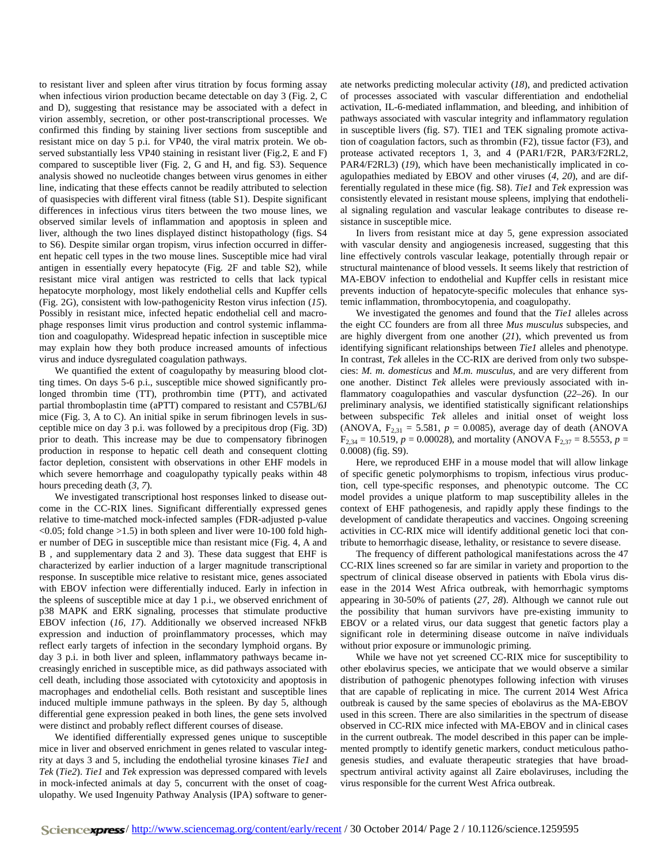to resistant liver and spleen after virus titration by focus forming assay when infectious virion production became detectable on day 3 (Fig. 2, C and D), suggesting that resistance may be associated with a defect in virion assembly, secretion, or other post-transcriptional processes. We confirmed this finding by staining liver sections from susceptible and resistant mice on day 5 p.i. for VP40, the viral matrix protein. We observed substantially less VP40 staining in resistant liver (Fig.2, E and F) compared to susceptible liver (Fig. 2, G and H, and fig. S3). Sequence analysis showed no nucleotide changes between virus genomes in either line, indicating that these effects cannot be readily attributed to selection of quasispecies with different viral fitness (table S1). Despite significant differences in infectious virus titers between the two mouse lines, we observed similar levels of inflammation and apoptosis in spleen and liver, although the two lines displayed distinct histopathology (figs. S4 to S6). Despite similar organ tropism, virus infection occurred in different hepatic cell types in the two mouse lines. Susceptible mice had viral antigen in essentially every hepatocyte (Fig. 2F and table S2), while resistant mice viral antigen was restricted to cells that lack typical hepatocyte morphology, most likely endothelial cells and Kupffer cells (Fig. 2G), consistent with low-pathogenicity Reston virus infection (*15*). Possibly in resistant mice, infected hepatic endothelial cell and macrophage responses limit virus production and control systemic inflammation and coagulopathy. Widespread hepatic infection in susceptible mice may explain how they both produce increased amounts of infectious virus and induce dysregulated coagulation pathways.

We quantified the extent of coagulopathy by measuring blood clotting times. On days 5-6 p.i., susceptible mice showed significantly prolonged thrombin time (TT), prothrombin time (PTT), and activated partial thromboplastin time (aPTT) compared to resistant and C57BL/6J mice (Fig. 3, A to C). An initial spike in serum fibrinogen levels in susceptible mice on day 3 p.i. was followed by a precipitous drop (Fig. 3D) prior to death. This increase may be due to compensatory fibrinogen production in response to hepatic cell death and consequent clotting factor depletion, consistent with observations in other EHF models in which severe hemorrhage and coagulopathy typically peaks within 48 hours preceding death (*3*, *7*).

We investigated transcriptional host responses linked to disease outcome in the CC-RIX lines. Significant differentially expressed genes relative to time-matched mock-infected samples (FDR-adjusted p-value  $\leq$  0.05; fold change  $>$ 1.5) in both spleen and liver were 10-100 fold higher number of DEG in susceptible mice than resistant mice (Fig. 4, A and B , and supplementary data 2 and 3). These data suggest that EHF is characterized by earlier induction of a larger magnitude transcriptional response. In susceptible mice relative to resistant mice, genes associated with EBOV infection were differentially induced. Early in infection in the spleens of susceptible mice at day 1 p.i., we observed enrichment of p38 MAPK and ERK signaling, processes that stimulate productive EBOV infection (*16*, *17*). Additionally we observed increased NFkB expression and induction of proinflammatory processes, which may reflect early targets of infection in the secondary lymphoid organs. By day 3 p.i. in both liver and spleen, inflammatory pathways became increasingly enriched in susceptible mice, as did pathways associated with cell death, including those associated with cytotoxicity and apoptosis in macrophages and endothelial cells. Both resistant and susceptible lines induced multiple immune pathways in the spleen. By day 5, although differential gene expression peaked in both lines, the gene sets involved were distinct and probably reflect different courses of disease.

We identified differentially expressed genes unique to susceptible mice in liver and observed enrichment in genes related to vascular integrity at days 3 and 5, including the endothelial tyrosine kinases *Tie1* and *Tek* (*Tie2*). *Tie1* and *Tek* expression was depressed compared with levels in mock-infected animals at day 5, concurrent with the onset of coagulopathy. We used Ingenuity Pathway Analysis (IPA) software to generate networks predicting molecular activity (*18*), and predicted activation of processes associated with vascular differentiation and endothelial activation, IL-6-mediated inflammation, and bleeding, and inhibition of pathways associated with vascular integrity and inflammatory regulation in susceptible livers (fig. S7). TIE1 and TEK signaling promote activation of coagulation factors, such as thrombin (F2), tissue factor (F3), and protease activated receptors 1, 3, and 4 (PAR1/F2R, PAR3/F2RL2, PAR4/F2RL3) (*19*), which have been mechanistically implicated in coagulopathies mediated by EBOV and other viruses (*4*, *20*), and are differentially regulated in these mice (fig. S8). *Tie1* and *Tek* expression was consistently elevated in resistant mouse spleens, implying that endothelial signaling regulation and vascular leakage contributes to disease resistance in susceptible mice.

In livers from resistant mice at day 5, gene expression associated with vascular density and angiogenesis increased, suggesting that this line effectively controls vascular leakage, potentially through repair or structural maintenance of blood vessels. It seems likely that restriction of MA-EBOV infection to endothelial and Kupffer cells in resistant mice prevents induction of hepatocyte-specific molecules that enhance systemic inflammation, thrombocytopenia, and coagulopathy.

We investigated the genomes and found that the *Tie1* alleles across the eight CC founders are from all three *Mus musculus* subspecies, and are highly divergent from one another (*21*), which prevented us from identifying significant relationships between *Tie1* alleles and phenotype. In contrast, *Tek* alleles in the CC-RIX are derived from only two subspecies: *M. m. domesticus* and *M.m. musculus,* and are very different from one another. Distinct *Tek* alleles were previously associated with inflammatory coagulopathies and vascular dysfunction (*22*–*26*). In our preliminary analysis, we identified statistically significant relationships between subspecific *Tek* alleles and initial onset of weight loss (ANOVA,  $F_{2,31} = 5.581$ ,  $p = 0.0085$ ), average day of death (ANOVA  $F_{2,34} = 10.519$ ,  $p = 0.00028$ ), and mortality (ANOVA  $F_{2,37} = 8.5553$ ,  $p =$ 0.0008) (fig. S9).

Here, we reproduced EHF in a mouse model that will allow linkage of specific genetic polymorphisms to tropism, infectious virus production, cell type-specific responses, and phenotypic outcome. The CC model provides a unique platform to map susceptibility alleles in the context of EHF pathogenesis, and rapidly apply these findings to the development of candidate therapeutics and vaccines. Ongoing screening activities in CC-RIX mice will identify additional genetic loci that contribute to hemorrhagic disease, lethality, or resistance to severe disease.

The frequency of different pathological manifestations across the 47 CC-RIX lines screened so far are similar in variety and proportion to the spectrum of clinical disease observed in patients with Ebola virus disease in the 2014 West Africa outbreak, with hemorrhagic symptoms appearing in 30-50% of patients (*27*, *28*). Although we cannot rule out the possibility that human survivors have pre-existing immunity to EBOV or a related virus, our data suggest that genetic factors play a significant role in determining disease outcome in naïve individuals without prior exposure or immunologic priming.

While we have not yet screened CC-RIX mice for susceptibility to other ebolavirus species, we anticipate that we would observe a similar distribution of pathogenic phenotypes following infection with viruses that are capable of replicating in mice. The current 2014 West Africa outbreak is caused by the same species of ebolavirus as the MA-EBOV used in this screen. There are also similarities in the spectrum of disease observed in CC-RIX mice infected with MA-EBOV and in clinical cases in the current outbreak. The model described in this paper can be implemented promptly to identify genetic markers, conduct meticulous pathogenesis studies, and evaluate therapeutic strategies that have broadspectrum antiviral activity against all Zaire ebolaviruses, including the virus responsible for the current West Africa outbreak.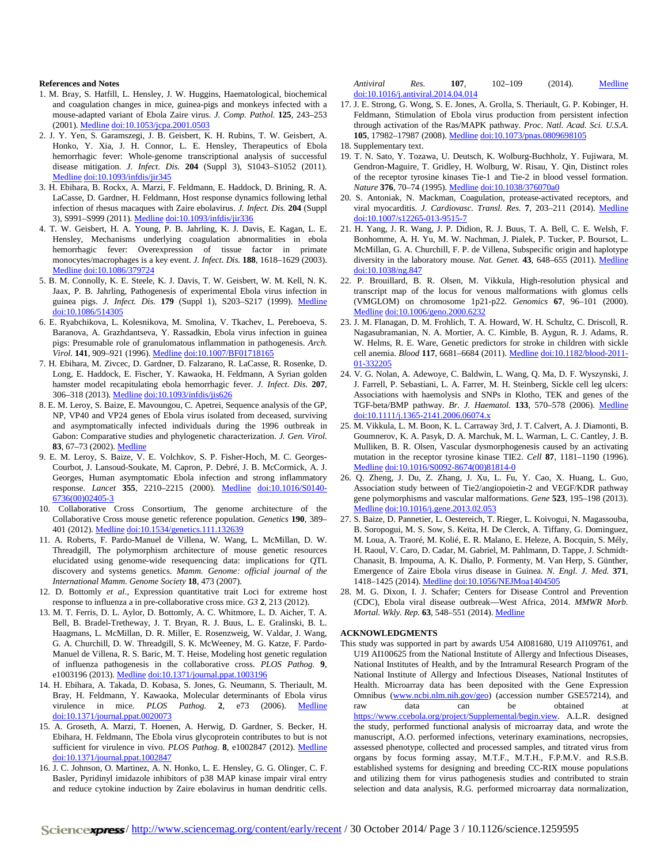## **References and Notes**

- 1. M. Bray, S. Hatfill, L. Hensley, J. W. Huggins, Haematological, biochemical and coagulation changes in mice, guinea-pigs and monkeys infected with a mouse-adapted variant of Ebola Zaire virus. *J. Comp. Pathol.* **125**, 243–253 (2001). [Medline](http://www.ncbi.nlm.nih.gov/entrez/query.fcgi?cmd=Retrieve&db=PubMed&list_uids=11798241&dopt=Abstract) [doi:10.1053/jcpa.2001.0503](http://dx.doi.org/10.1053/jcpa.2001.0503)
- 2. J. Y. Yen, S. Garamszegi, J. B. Geisbert, K. H. Rubins, T. W. Geisbert, A. Honko, Y. Xia, J. H. Connor, L. E. Hensley, Therapeutics of Ebola hemorrhagic fever: Whole-genome transcriptional analysis of successful disease mitigation. *J. Infect. Dis.* **204** (Suppl 3), S1043–S1052 (2011)[.](http://www.ncbi.nlm.nih.gov/entrez/query.fcgi?cmd=Retrieve&db=PubMed&list_uids=21987740&dopt=Abstract) [Medline](http://www.ncbi.nlm.nih.gov/entrez/query.fcgi?cmd=Retrieve&db=PubMed&list_uids=21987740&dopt=Abstract) [doi:10.1093/infdis/jir345](http://dx.doi.org/10.1093/infdis/jir345)
- 3. H. Ebihara, B. Rockx, A. Marzi, F. Feldmann, E. Haddock, D. Brining, R. A. LaCasse, D. Gardner, H. Feldmann, Host response dynamics following lethal infection of rhesus macaques with Zaire ebolavirus. *J. Infect. Dis.* **204** (Suppl 3), S991–S999 (2011). [Medline](http://www.ncbi.nlm.nih.gov/entrez/query.fcgi?cmd=Retrieve&db=PubMed&list_uids=21987781&dopt=Abstract) [doi:10.1093/infdis/jir336](http://dx.doi.org/10.1093/infdis/jir336)
- 4. T. W. Geisbert, H. A. Young, P. B. Jahrling, K. J. Davis, E. Kagan, L. E. Hensley, Mechanisms underlying coagulation abnormalities in ebola hemorrhagic fever: Overexpression of tissue factor in primate monocytes/macrophages is a key event. *J. Infect. Dis.* **188**, 1618–1629 (2003[\).](http://www.ncbi.nlm.nih.gov/entrez/query.fcgi?cmd=Retrieve&db=PubMed&list_uids=14639531&dopt=Abstract) [Medline](http://www.ncbi.nlm.nih.gov/entrez/query.fcgi?cmd=Retrieve&db=PubMed&list_uids=14639531&dopt=Abstract) [doi:10.1086/379724](http://dx.doi.org/10.1086/379724)
- 5. B. M. Connolly, K. E. Steele, K. J. Davis, T. W. Geisbert, W. M. Kell, N. K. Jaax, P. B. Jahrling, Pathogenesis of experimental Ebola virus infection in guinea pigs. *J. Infect. Dis.* **179** (Suppl 1), S203–S217 (1999). [Medline](http://www.ncbi.nlm.nih.gov/entrez/query.fcgi?cmd=Retrieve&db=PubMed&list_uids=9988186&dopt=Abstract) [doi:10.1086/514305](http://dx.doi.org/10.1086/514305)
- 6. E. Ryabchikova, L. Kolesnikova, M. Smolina, V. Tkachev, L. Pereboeva, S. Baranova, A. Grazhdantseva, Y. Rassadkin, Ebola virus infection in guinea pigs: Presumable role of granulomatous inflammation in pathogenesis. *Arch. Virol.* **141**, 909–921 (1996). [Medline](http://www.ncbi.nlm.nih.gov/entrez/query.fcgi?cmd=Retrieve&db=PubMed&list_uids=8678836&dopt=Abstract) [doi:10.1007/BF01718165](http://dx.doi.org/10.1007/BF01718165)
- 7. H. Ebihara, M. Zivcec, D. Gardner, D. Falzarano, R. LaCasse, R. Rosenke, D. Long, E. Haddock, E. Fischer, Y. Kawaoka, H. Feldmann, A Syrian golden hamster model recapitulating ebola hemorrhagic fever. *J. Infect. Dis.* **207**, 306–318 (2013). [Medline](http://www.ncbi.nlm.nih.gov/entrez/query.fcgi?cmd=Retrieve&db=PubMed&list_uids=23045629&dopt=Abstract) [doi:10.1093/infdis/jis626](http://dx.doi.org/10.1093/infdis/jis626)
- 8. E. M. Leroy, S. Baize, E. Mavoungou, C. Apetrei, Sequence analysis of the GP, NP, VP40 and VP24 genes of Ebola virus isolated from deceased, surviving and asymptomatically infected individuals during the 1996 outbreak in Gabon: Comparative studies and phylogenetic characterization. *J. Gen. Virol.* **83**, 67–73 (2002). [Medline](http://www.ncbi.nlm.nih.gov/entrez/query.fcgi?cmd=Retrieve&db=PubMed&list_uids=11752702&dopt=Abstract)
- 9. E. M. Leroy, S. Baize, V. E. Volchkov, S. P. Fisher-Hoch, M. C. Georges-Courbot, J. Lansoud-Soukate, M. Capron, P. Debré, J. B. McCormick, A. J. Georges, Human asymptomatic Ebola infection and strong inflammatory response. *Lancet* **355**, 2210–2215 (2000). [Medline](http://www.ncbi.nlm.nih.gov/entrez/query.fcgi?cmd=Retrieve&db=PubMed&list_uids=10881895&dopt=Abstract) [doi:10.1016/S0140-](http://dx.doi.org/10.1016/S0140-6736(00)02405-3) [6736\(00\)02405-3](http://dx.doi.org/10.1016/S0140-6736(00)02405-3)
- 10. Collaborative Cross Consortium, The genome architecture of the Collaborative Cross mouse genetic reference population. *Genetics* **190**, 389– 401 (2012). [Medline](http://www.ncbi.nlm.nih.gov/entrez/query.fcgi?cmd=Retrieve&db=PubMed&list_uids=22345608&dopt=Abstract) [doi:10.1534/genetics.111.132639](http://dx.doi.org/10.1534/genetics.111.132639)
- 11. A. Roberts, F. Pardo-Manuel de Villena, W. Wang, L. McMillan, D. W. Threadgill, The polymorphism architecture of mouse genetic resources elucidated using genome-wide resequencing data: implications for QTL discovery and systems genetics. *Mamm. Genome: official journal of the International Mamm*. *Genome Society* **18**, 473 (2007).
- 12. D. Bottomly *et al.*, Expression quantitative trait Loci for extreme host response to influenza a in pre-collaborative cross mice. *G3* **2**, 213 (2012).
- 13. M. T. Ferris, D. L. Aylor, D. Bottomly, A. C. Whitmore, L. D. Aicher, T. A. Bell, B. Bradel-Tretheway, J. T. Bryan, R. J. Buus, L. E. Gralinski, B. L. Haagmans, L. McMillan, D. R. Miller, E. Rosenzweig, W. Valdar, J. Wang, G. A. Churchill, D. W. Threadgill, S. K. McWeeney, M. G. Katze, F. Pardo-Manuel de Villena, R. S. Baric, M. T. Heise, Modeling host genetic regulation of influenza pathogenesis in the collaborative cross. *PLOS Pathog.* **9**, e1003196 (2013). [Medline](http://www.ncbi.nlm.nih.gov/entrez/query.fcgi?cmd=Retrieve&db=PubMed&list_uids=23468633&dopt=Abstract) [doi:10.1371/journal.ppat.1003196](http://dx.doi.org/10.1371/journal.ppat.1003196)
- 14. H. Ebihara, A. Takada, D. Kobasa, S. Jones, G. Neumann, S. Theriault, M. Bray, H. Feldmann, Y. Kawaoka, Molecular determinants of Ebola virus virulence in mice. *PLOS Pathog.* **2**, e73 (2006). [Medline](http://www.ncbi.nlm.nih.gov/entrez/query.fcgi?cmd=Retrieve&db=PubMed&list_uids=16848640&dopt=Abstract) [doi:10.1371/journal.ppat.0020073](http://dx.doi.org/10.1371/journal.ppat.0020073)
- 15. A. Groseth, A. Marzi, T. Hoenen, A. Herwig, D. Gardner, S. Becker, H. Ebihara, H. Feldmann, The Ebola virus glycoprotein contributes to but is not sufficient for virulence in vivo. *PLOS Pathog.* **8**, e1002847 (2012). [Medline](http://www.ncbi.nlm.nih.gov/entrez/query.fcgi?cmd=Retrieve&db=PubMed&list_uids=22876185&dopt=Abstract) [doi:10.1371/journal.ppat.1002847](http://dx.doi.org/10.1371/journal.ppat.1002847)
- 16. J. C. Johnson, O. Martinez, A. N. Honko, L. E. Hensley, G. G. Olinger, C. F. Basler, Pyridinyl imidazole inhibitors of p38 MAP kinase impair viral entry and reduce cytokine induction by Zaire ebolavirus in human dendritic cells.

*Antiviral Res.* **107**, 102–109 (2014). [Medline](http://www.ncbi.nlm.nih.gov/entrez/query.fcgi?cmd=Retrieve&db=PubMed&list_uids=24815087&dopt=Abstract) [doi:10.1016/j.antiviral.2014.04.014](http://dx.doi.org/10.1016/j.antiviral.2014.04.014)

17. J. E. Strong, G. Wong, S. E. Jones, A. Grolla, S. Theriault, G. P. Kobinger, H. Feldmann, Stimulation of Ebola virus production from persistent infection through activation of the Ras/MAPK pathway. *Proc. Natl. Acad. Sci. U.S.A.* **105**, 17982–17987 (2008). [Medline](http://www.ncbi.nlm.nih.gov/entrez/query.fcgi?cmd=Retrieve&db=PubMed&list_uids=18981410&dopt=Abstract) [doi:10.1073/pnas.0809698105](http://dx.doi.org/10.1073/pnas.0809698105)

- 19. T. N. Sato, Y. Tozawa, U. Deutsch, K. Wolburg-Buchholz, Y. Fujiwara, M. Gendron-Maguire, T. Gridley, H. Wolburg, W. Risau, Y. Qin, Distinct roles of the receptor tyrosine kinases Tie-1 and Tie-2 in blood vessel formation. *Nature* **376**, 70–74 (1995). [Medline](http://www.ncbi.nlm.nih.gov/entrez/query.fcgi?cmd=Retrieve&db=PubMed&list_uids=7596437&dopt=Abstract) [doi:10.1038/376070a0](http://dx.doi.org/10.1038/376070a0)
- 20. S. Antoniak, N. Mackman, Coagulation, protease-activated receptors, and viral myocarditis. *J. Cardiovasc. Transl. Res.* **7**, 203–211 (2014). [Medline](http://www.ncbi.nlm.nih.gov/entrez/query.fcgi?cmd=Retrieve&db=PubMed&list_uids=24203054&dopt=Abstract) [doi:10.1007/s12265-013-9515-7](http://dx.doi.org/10.1007/s12265-013-9515-7)
- 21. H. Yang, J. R. Wang, J. P. Didion, R. J. Buus, T. A. Bell, C. E. Welsh, F. Bonhomme, A. H. Yu, M. W. Nachman, J. Pialek, P. Tucker, P. Boursot, L. McMillan, G. A. Churchill, F. P. de Villena, Subspecific origin and haplotype diversity in the laboratory mouse. *Nat. Genet.* **43**, 648–655 (2011). [Medline](http://www.ncbi.nlm.nih.gov/entrez/query.fcgi?cmd=Retrieve&db=PubMed&list_uids=21623374&dopt=Abstract) [doi:10.1038/ng.847](http://dx.doi.org/10.1038/ng.847)
- 22. P. Brouillard, B. R. Olsen, M. Vikkula, High-resolution physical and transcript map of the locus for venous malformations with glomus cells (VMGLOM) on chromosome 1p21-p22. *Genomics* **67**, 96–101 (2000[\).](http://www.ncbi.nlm.nih.gov/entrez/query.fcgi?cmd=Retrieve&db=PubMed&list_uids=10945476&dopt=Abstract) [Medline](http://www.ncbi.nlm.nih.gov/entrez/query.fcgi?cmd=Retrieve&db=PubMed&list_uids=10945476&dopt=Abstract) [doi:10.1006/geno.2000.6232](http://dx.doi.org/10.1006/geno.2000.6232)
- 23. J. M. Flanagan, D. M. Frohlich, T. A. Howard, W. H. Schultz, C. Driscoll, R. Nagasubramanian, N. A. Mortier, A. C. Kimble, B. Aygun, R. J. Adams, R. W. Helms, R. E. Ware, Genetic predictors for stroke in children with sickle cell anemia. *Blood* **117**, 6681–6684 (2011). [Medline](http://www.ncbi.nlm.nih.gov/entrez/query.fcgi?cmd=Retrieve&db=PubMed&list_uids=21515823&dopt=Abstract) [doi:10.1182/blood-2011-](http://dx.doi.org/10.1182/blood-2011-01-332205) [01-332205](http://dx.doi.org/10.1182/blood-2011-01-332205)
- 24. V. G. Nolan, A. Adewoye, C. Baldwin, L. Wang, Q. Ma, D. F. Wyszynski, J. J. Farrell, P. Sebastiani, L. A. Farrer, M. H. Steinberg, Sickle cell leg ulcers: Associations with haemolysis and SNPs in Klotho, TEK and genes of the TGF-beta/BMP pathway. *Br. J. Haematol.* **133**, 570–578 (2006). [Medline](http://www.ncbi.nlm.nih.gov/entrez/query.fcgi?cmd=Retrieve&db=PubMed&list_uids=16681647&dopt=Abstract) [doi:10.1111/j.1365-2141.2006.06074.x](http://dx.doi.org/10.1111/j.1365-2141.2006.06074.x)
- 25. M. Vikkula, L. M. Boon, K. L. Carraway 3rd, J. T. Calvert, A. J. Diamonti, B. Goumnerov, K. A. Pasyk, D. A. Marchuk, M. L. Warman, L. C. Cantley, J. B. Mulliken, B. R. Olsen, Vascular dysmorphogenesis caused by an activating mutation in the receptor tyrosine kinase TIE2. *Cell* **87**, 1181–1190 (1996[\).](http://www.ncbi.nlm.nih.gov/entrez/query.fcgi?cmd=Retrieve&db=PubMed&list_uids=8980225&dopt=Abstract) [Medline](http://www.ncbi.nlm.nih.gov/entrez/query.fcgi?cmd=Retrieve&db=PubMed&list_uids=8980225&dopt=Abstract) [doi:10.1016/S0092-8674\(00\)81814-0](http://dx.doi.org/10.1016/S0092-8674(00)81814-0)
- 26. Q. Zheng, J. Du, Z. Zhang, J. Xu, L. Fu, Y. Cao, X. Huang, L. Guo, Association study between of Tie2/angiopoietin-2 and VEGF/KDR pathway gene polymorphisms and vascular malformations. *Gene* **523**, 195–198 (2013[\).](http://www.ncbi.nlm.nih.gov/entrez/query.fcgi?cmd=Retrieve&db=PubMed&list_uids=23566851&dopt=Abstract) [Medline](http://www.ncbi.nlm.nih.gov/entrez/query.fcgi?cmd=Retrieve&db=PubMed&list_uids=23566851&dopt=Abstract) [doi:10.1016/j.gene.2013.02.053](http://dx.doi.org/10.1016/j.gene.2013.02.053)
- 27. S. Baize, D. Pannetier, L. Oestereich, T. Rieger, L. Koivogui, N. Magassouba, B. Soropogui, M. S. Sow, S. Keïta, H. De Clerck, A. Tiffany, G. Dominguez, M. Loua, A. Traoré, M. Kolié, E. R. Malano, E. Heleze, A. Bocquin, S. Mély, H. Raoul, V. Caro, D. Cadar, M. Gabriel, M. Pahlmann, D. Tappe, J. Schmidt-Chanasit, B. Impouma, A. K. Diallo, P. Formenty, M. Van Herp, S. Günther, Emergence of Zaire Ebola virus disease in Guinea. *N. Engl. J. Med.* **371**, 1418–1425 (2014). [Medline](http://www.ncbi.nlm.nih.gov/entrez/query.fcgi?cmd=Retrieve&db=PubMed&list_uids=24738640&dopt=Abstract) [doi:10.1056/NEJMoa1404505](http://dx.doi.org/10.1056/NEJMoa1404505)
- 28. M. G. Dixon, I. J. Schafer; Centers for Disease Control and Prevention (CDC), Ebola viral disease outbreak—West Africa, 2014. *MMWR Morb. Mortal. Wkly. Rep.* **63**, 548–551 (2014). [Medline](http://www.ncbi.nlm.nih.gov/entrez/query.fcgi?cmd=Retrieve&db=PubMed&list_uids=24964881&dopt=Abstract)

## **ACKNOWLEDGMENTS**

This study was supported in part by awards U54 AI081680, U19 AI109761, and U19 AI100625 from the National Institute of Allergy and Infectious Diseases, National Institutes of Health, and by the Intramural Research Program of the National Institute of Allergy and Infectious Diseases, National Institutes of Health. Microarray data has been deposited with the Gene Expression Omnibus [\(www.ncbi.nlm.nih.gov/geo\)](http://www.ncbi.nlm.nih.gov/geo) (accession number GSE57214), and raw data can be obtained at raw data can be obtained at [https://www.ccebola.org/project/Supplemental/begin.view.](https://www.ccebola.org/project/Supplemental/begin.view) A.L.R. designed the study, performed functional analysis of microarray data, and wrote the manuscript, A.O. performed infections, veterinary examinations, necropsies, assessed phenotype, collected and processed samples, and titrated virus from organs by focus forming assay, M.T.F., M.T.H., F.P.M.V. and R.S.B. established systems for designing and breeding CC-RIX mouse populations and utilizing them for virus pathogenesis studies and contributed to strain selection and data analysis, R.G. performed microarray data normalization,

<sup>18.</sup> Supplementary text.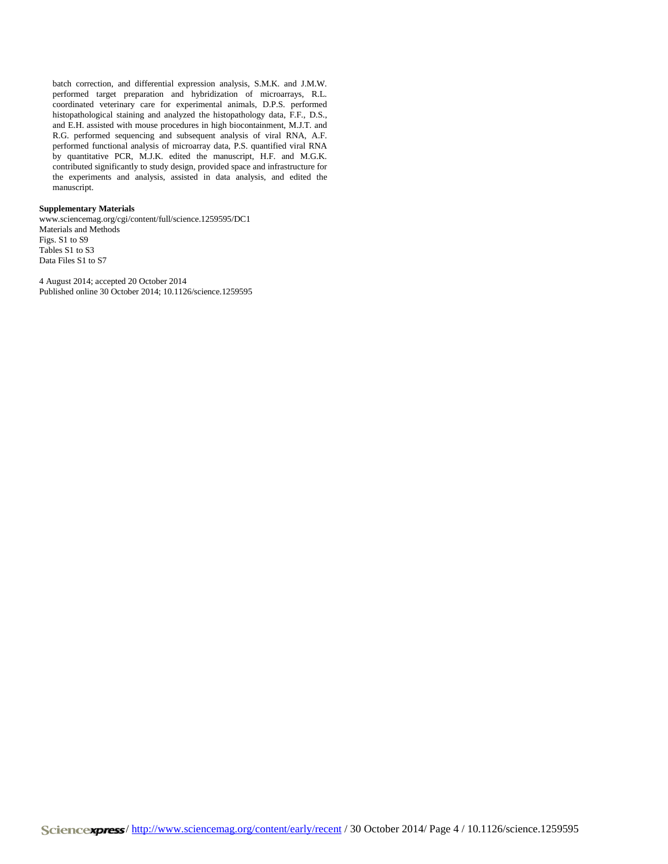batch correction, and differential expression analysis, S.M.K. and J.M.W. performed target preparation and hybridization of microarrays, R.L. coordinated veterinary care for experimental animals, D.P.S. performed histopathological staining and analyzed the histopathology data, F.F., D.S., and E.H. assisted with mouse procedures in high biocontainment, M.J.T. and R.G. performed sequencing and subsequent analysis of viral RNA, A.F. performed functional analysis of microarray data, P.S. quantified viral RNA by quantitative PCR, M.J.K. edited the manuscript, H.F. and M.G.K. contributed significantly to study design, provided space and infrastructure for the experiments and analysis, assisted in data analysis, and edited the manuscript.

## **Supplementary Materials**

www.sciencemag.org/cgi/content/full/science.1259595/DC1 Materials and Methods Figs. S1 to S9 Tables S1 to S3 Data Files S1 to S7

4 August 2014; accepted 20 October 2014 Published online 30 October 2014; 10.1126/science.1259595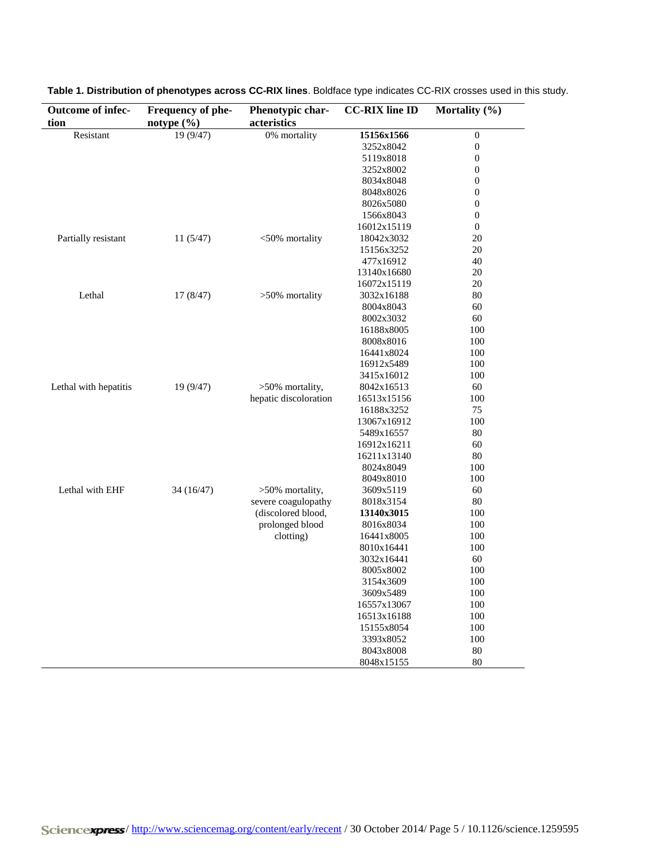| Outcome of infec-     | Frequency of phe- | Phenotypic char-      | <b>CC-RIX</b> line ID   | Mortality (%)    |
|-----------------------|-------------------|-----------------------|-------------------------|------------------|
| tion                  | notype $(\% )$    | acteristics           |                         |                  |
| Resistant             | 19 (9/47)         | 0% mortality          | 15156x1566              | $\boldsymbol{0}$ |
|                       |                   |                       | 3252x8042               | $\boldsymbol{0}$ |
|                       |                   |                       | 5119x8018               | $\boldsymbol{0}$ |
|                       |                   |                       | 3252x8002               | $\boldsymbol{0}$ |
|                       |                   |                       | 8034x8048               | $\mathbf{0}$     |
|                       |                   |                       | 8048x8026               | $\boldsymbol{0}$ |
|                       |                   |                       | 8026x5080               | $\boldsymbol{0}$ |
|                       |                   |                       | 1566x8043               | $\boldsymbol{0}$ |
|                       |                   |                       | 16012x15119             | $\mathbf{0}$     |
| Partially resistant   | 11(5/47)          | <50% mortality        | 18042x3032              | 20               |
|                       |                   |                       | 15156x3252              | 20               |
|                       |                   |                       | 477x16912               | 40               |
|                       |                   |                       | 13140x16680             | 20               |
|                       |                   |                       | 16072x15119             | 20               |
| Lethal                | 17(8/47)          | >50% mortality        | 3032x16188              | 80               |
|                       |                   |                       | 8004x8043               | 60               |
|                       |                   |                       | 8002x3032               | 60               |
|                       |                   |                       | 16188x8005              | 100              |
|                       |                   |                       | 8008x8016               | 100              |
|                       |                   |                       | 16441x8024              | 100              |
|                       |                   |                       | 16912x5489              | 100              |
|                       |                   |                       | 3415x16012              | 100              |
| Lethal with hepatitis | 19 (9/47)         | >50% mortality,       | 8042x16513              | 60               |
|                       |                   | hepatic discoloration | 16513x15156             | 100              |
|                       |                   |                       | 16188x3252              | 75               |
|                       |                   |                       | 13067x16912             | 100              |
|                       |                   |                       | 5489x16557              | 80               |
|                       |                   |                       | 16912x16211             | 60               |
|                       |                   |                       | 16211x13140             | 80               |
|                       |                   |                       | 8024x8049               | 100              |
|                       |                   |                       | 8049x8010               | 100              |
| Lethal with EHF       | 34 (16/47)        | >50% mortality,       | 3609x5119               | 60               |
|                       |                   | severe coagulopathy   | 8018x3154               | 80               |
|                       |                   | (discolored blood,    | 13140x3015              | 100              |
|                       |                   | prolonged blood       | 8016x8034               | 100              |
|                       |                   | clotting)             | 16441x8005              | 100              |
|                       |                   |                       | 8010x16441              | 100              |
|                       |                   |                       | 3032x16441              | 60               |
|                       |                   |                       | 8005x8002               | 100              |
|                       |                   |                       | 3154x3609               | 100              |
|                       |                   |                       | 3609x5489               | 100              |
|                       |                   |                       | 16557x13067             | 100              |
|                       |                   |                       | 16513x16188             | 100              |
|                       |                   |                       |                         | 100              |
|                       |                   |                       | 15155x8054<br>3393x8052 | 100              |
|                       |                   |                       | 8043x8008               | 80               |
|                       |                   |                       |                         | 80               |
|                       |                   |                       | 8048x15155              |                  |

**Table 1. Distribution of phenotypes across CC-RIX lines**. Boldface type indicates CC-RIX crosses used in this study.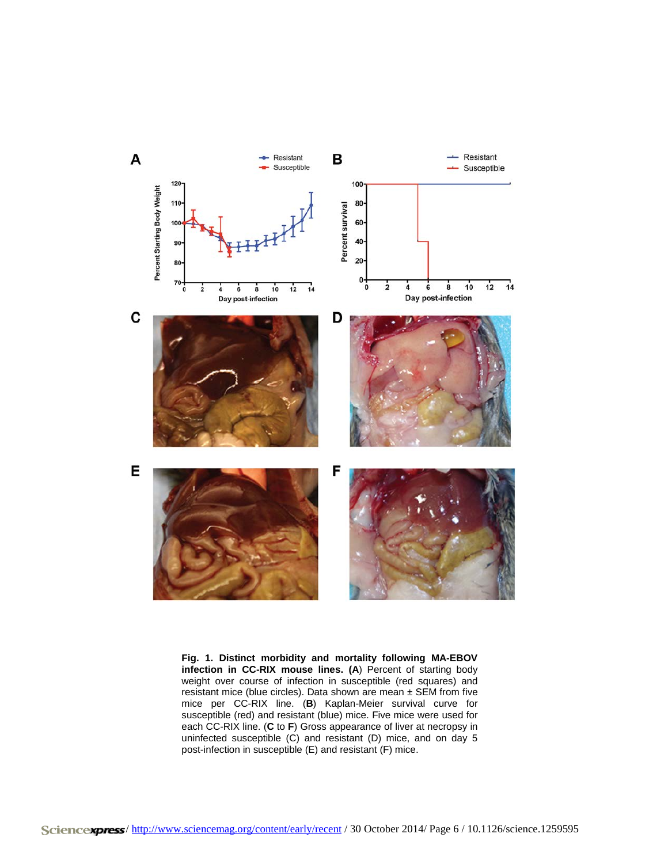

**Fig. 1. Distinct morbidity and mortality following MA-EBOV infection in CC-RIX mouse lines. (A**) Percent of starting body weight over course of infection in susceptible (red squares) and resistant mice (blue circles). Data shown are mean ± SEM from five mice per CC-RIX line. (**B**) Kaplan-Meier survival curve for susceptible (red) and resistant (blue) mice. Five mice were used for each CC-RIX line. (**C** to **F**) Gross appearance of liver at necropsy in uninfected susceptible (C) and resistant (D) mice, and on day 5 post-infection in susceptible (E) and resistant (F) mice.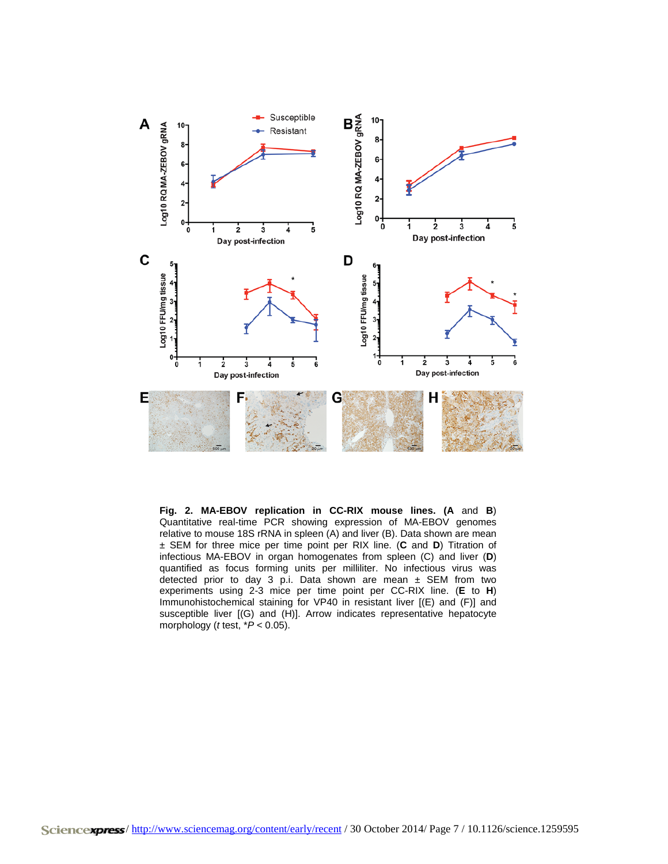

**Fig. 2. MA-EBOV replication in CC-RIX mouse lines. (A** and **B**) Quantitative real-time PCR showing expression of MA-EBOV genomes relative to mouse 18S rRNA in spleen (A) and liver (B). Data shown are mean ± SEM for three mice per time point per RIX line. (**C** and **D**) Titration of infectious MA-EBOV in organ homogenates from spleen (C) and liver (**D**) quantified as focus forming units per milliliter. No infectious virus was detected prior to day 3 p.i. Data shown are mean  $\pm$  SEM from two experiments using 2-3 mice per time point per CC-RIX line. (**E** to **H**) Immunohistochemical staining for VP40 in resistant liver [(E) and (F)] and susceptible liver [(G) and (H)]. Arrow indicates representative hepatocyte morphology (*t* test, \**P* < 0.05).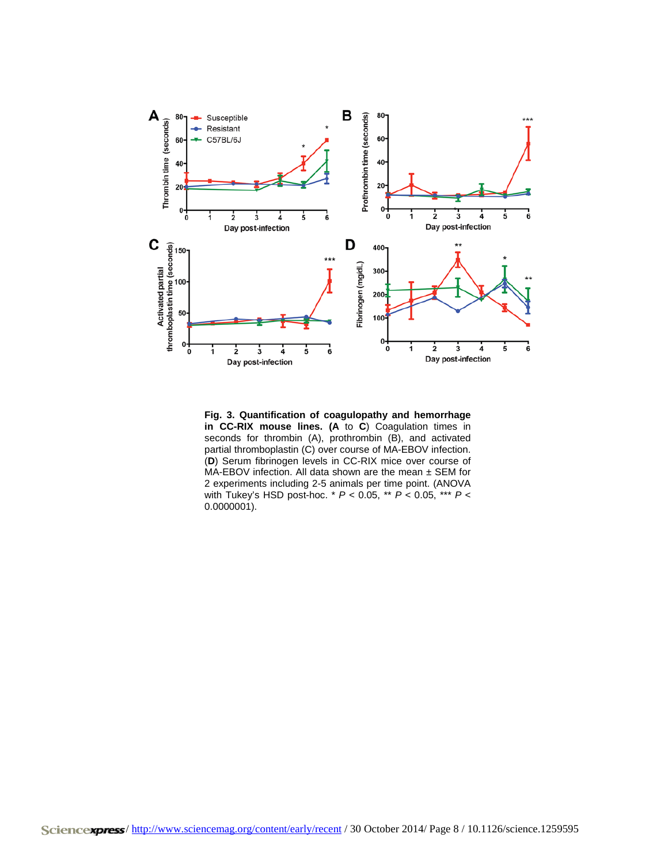

**Fig. 3. Quantification of coagulopathy and hemorrhage in CC-RIX mouse lines. (A** to **C**) Coagulation times in seconds for thrombin (A), prothrombin (B), and activated partial thromboplastin (C) over course of MA-EBOV infection. (**D**) Serum fibrinogen levels in CC-RIX mice over course of MA-EBOV infection. All data shown are the mean ± SEM for 2 experiments including 2-5 animals per time point. (ANOVA with Tukey's HSD post-hoc. \* *P* < 0.05, \*\* *P* < 0.05, \*\*\* *P* < 0.0000001).